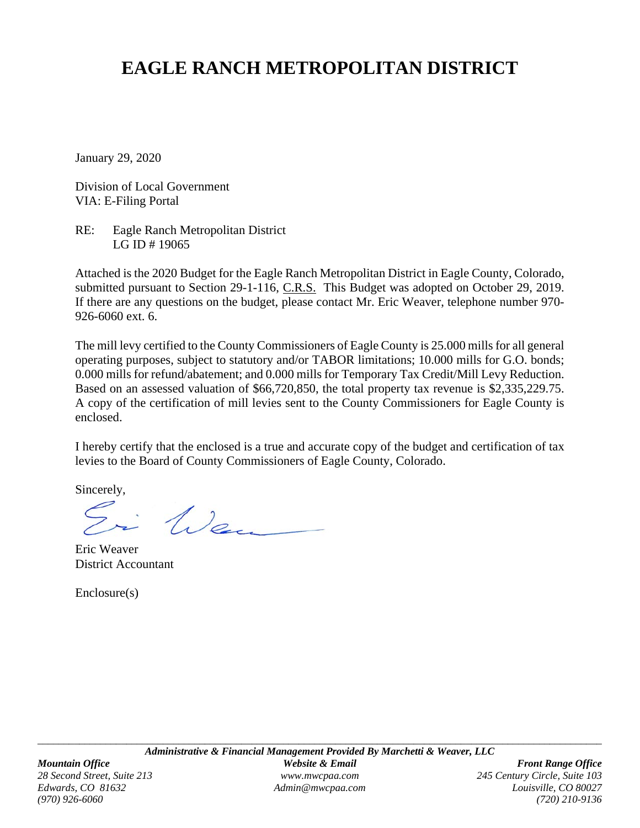# **EAGLE RANCH METROPOLITAN DISTRICT**

January 29, 2020

Division of Local Government VIA: E-Filing Portal

RE: Eagle Ranch Metropolitan District LG ID # 19065

Attached is the 2020 Budget for the Eagle Ranch Metropolitan District in Eagle County, Colorado, submitted pursuant to Section 29-1-116, C.R.S. This Budget was adopted on October 29, 2019. If there are any questions on the budget, please contact Mr. Eric Weaver, telephone number 970- 926-6060 ext. 6.

The mill levy certified to the County Commissioners of Eagle County is 25.000 mills for all general operating purposes, subject to statutory and/or TABOR limitations; 10.000 mills for G.O. bonds; 0.000 mills for refund/abatement; and 0.000 mills for Temporary Tax Credit/Mill Levy Reduction. Based on an assessed valuation of \$66,720,850, the total property tax revenue is \$2,335,229.75. A copy of the certification of mill levies sent to the County Commissioners for Eagle County is enclosed.

I hereby certify that the enclosed is a true and accurate copy of the budget and certification of tax levies to the Board of County Commissioners of Eagle County, Colorado.

Sincerely,

i Wen

Eric Weaver District Accountant

Enclosure(s)

*(970) 926-6060 (720) 210-9136*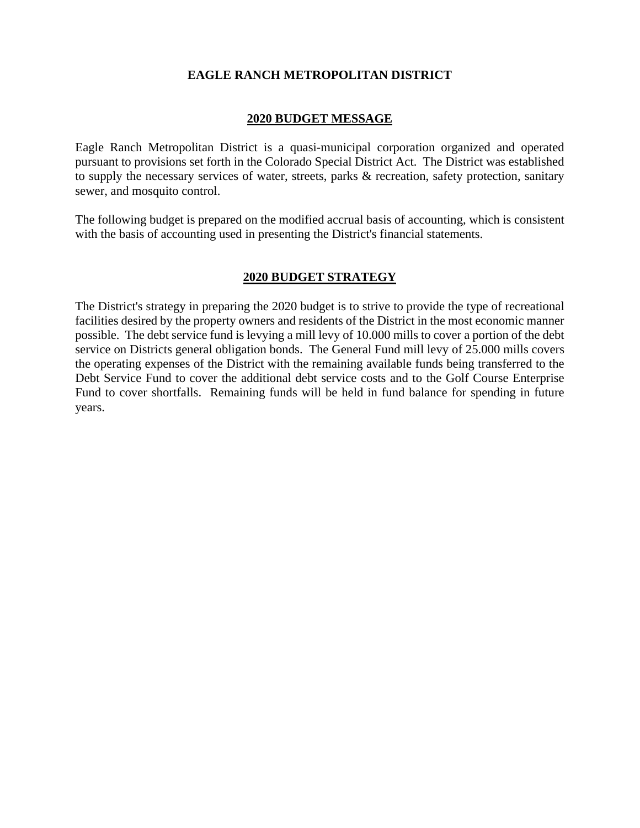#### **EAGLE RANCH METROPOLITAN DISTRICT**

#### **2020 BUDGET MESSAGE**

Eagle Ranch Metropolitan District is a quasi-municipal corporation organized and operated pursuant to provisions set forth in the Colorado Special District Act. The District was established to supply the necessary services of water, streets, parks & recreation, safety protection, sanitary sewer, and mosquito control.

The following budget is prepared on the modified accrual basis of accounting, which is consistent with the basis of accounting used in presenting the District's financial statements.

#### **2020 BUDGET STRATEGY**

The District's strategy in preparing the 2020 budget is to strive to provide the type of recreational facilities desired by the property owners and residents of the District in the most economic manner possible. The debt service fund is levying a mill levy of 10.000 mills to cover a portion of the debt service on Districts general obligation bonds. The General Fund mill levy of 25.000 mills covers the operating expenses of the District with the remaining available funds being transferred to the Debt Service Fund to cover the additional debt service costs and to the Golf Course Enterprise Fund to cover shortfalls. Remaining funds will be held in fund balance for spending in future years.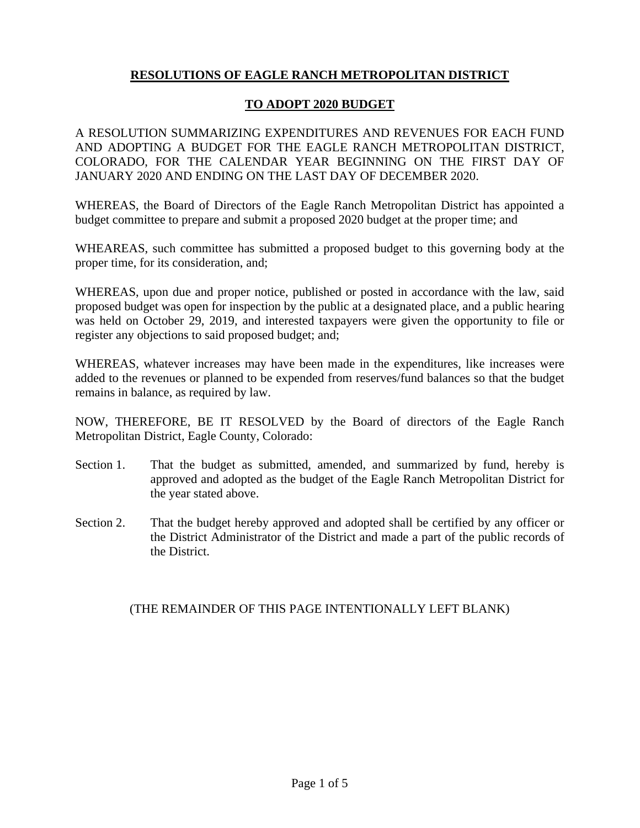# **RESOLUTIONS OF EAGLE RANCH METROPOLITAN DISTRICT**

#### **TO ADOPT 2020 BUDGET**

A RESOLUTION SUMMARIZING EXPENDITURES AND REVENUES FOR EACH FUND AND ADOPTING A BUDGET FOR THE EAGLE RANCH METROPOLITAN DISTRICT, COLORADO, FOR THE CALENDAR YEAR BEGINNING ON THE FIRST DAY OF JANUARY 2020 AND ENDING ON THE LAST DAY OF DECEMBER 2020.

WHEREAS, the Board of Directors of the Eagle Ranch Metropolitan District has appointed a budget committee to prepare and submit a proposed 2020 budget at the proper time; and

WHEAREAS, such committee has submitted a proposed budget to this governing body at the proper time, for its consideration, and;

WHEREAS, upon due and proper notice, published or posted in accordance with the law, said proposed budget was open for inspection by the public at a designated place, and a public hearing was held on October 29, 2019, and interested taxpayers were given the opportunity to file or register any objections to said proposed budget; and;

WHEREAS, whatever increases may have been made in the expenditures, like increases were added to the revenues or planned to be expended from reserves/fund balances so that the budget remains in balance, as required by law.

NOW, THEREFORE, BE IT RESOLVED by the Board of directors of the Eagle Ranch Metropolitan District, Eagle County, Colorado:

- Section 1. That the budget as submitted, amended, and summarized by fund, hereby is approved and adopted as the budget of the Eagle Ranch Metropolitan District for the year stated above.
- Section 2. That the budget hereby approved and adopted shall be certified by any officer or the District Administrator of the District and made a part of the public records of the District.

## (THE REMAINDER OF THIS PAGE INTENTIONALLY LEFT BLANK)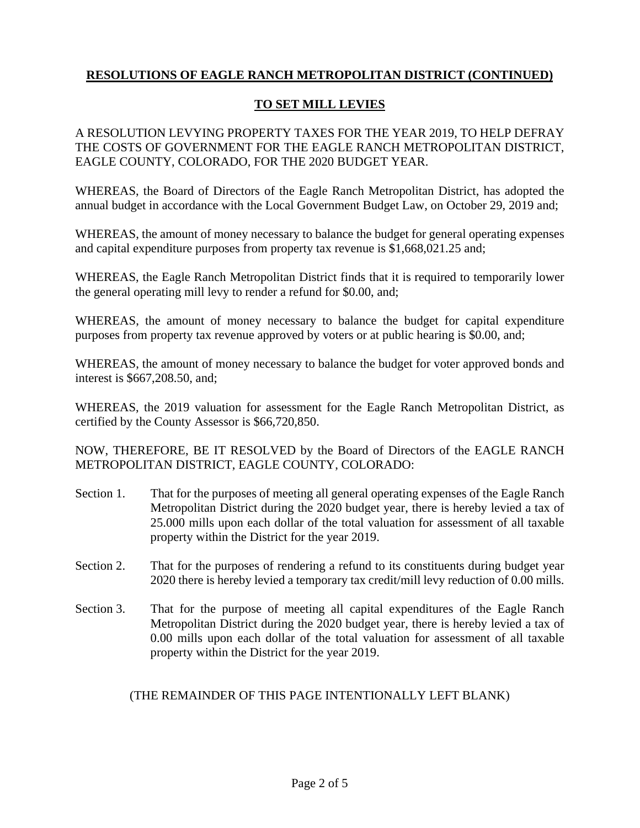# **TO SET MILL LEVIES**

A RESOLUTION LEVYING PROPERTY TAXES FOR THE YEAR 2019, TO HELP DEFRAY THE COSTS OF GOVERNMENT FOR THE EAGLE RANCH METROPOLITAN DISTRICT, EAGLE COUNTY, COLORADO, FOR THE 2020 BUDGET YEAR.

WHEREAS, the Board of Directors of the Eagle Ranch Metropolitan District, has adopted the annual budget in accordance with the Local Government Budget Law, on October 29, 2019 and;

WHEREAS, the amount of money necessary to balance the budget for general operating expenses and capital expenditure purposes from property tax revenue is \$1,668,021.25 and;

WHEREAS, the Eagle Ranch Metropolitan District finds that it is required to temporarily lower the general operating mill levy to render a refund for \$0.00, and;

WHEREAS, the amount of money necessary to balance the budget for capital expenditure purposes from property tax revenue approved by voters or at public hearing is \$0.00, and;

WHEREAS, the amount of money necessary to balance the budget for voter approved bonds and interest is \$667,208.50, and;

WHEREAS, the 2019 valuation for assessment for the Eagle Ranch Metropolitan District, as certified by the County Assessor is \$66,720,850.

NOW, THEREFORE, BE IT RESOLVED by the Board of Directors of the EAGLE RANCH METROPOLITAN DISTRICT, EAGLE COUNTY, COLORADO:

- Section 1. That for the purposes of meeting all general operating expenses of the Eagle Ranch Metropolitan District during the 2020 budget year, there is hereby levied a tax of 25.000 mills upon each dollar of the total valuation for assessment of all taxable property within the District for the year 2019.
- Section 2. That for the purposes of rendering a refund to its constituents during budget year 2020 there is hereby levied a temporary tax credit/mill levy reduction of 0.00 mills.
- Section 3. That for the purpose of meeting all capital expenditures of the Eagle Ranch Metropolitan District during the 2020 budget year, there is hereby levied a tax of 0.00 mills upon each dollar of the total valuation for assessment of all taxable property within the District for the year 2019.

## (THE REMAINDER OF THIS PAGE INTENTIONALLY LEFT BLANK)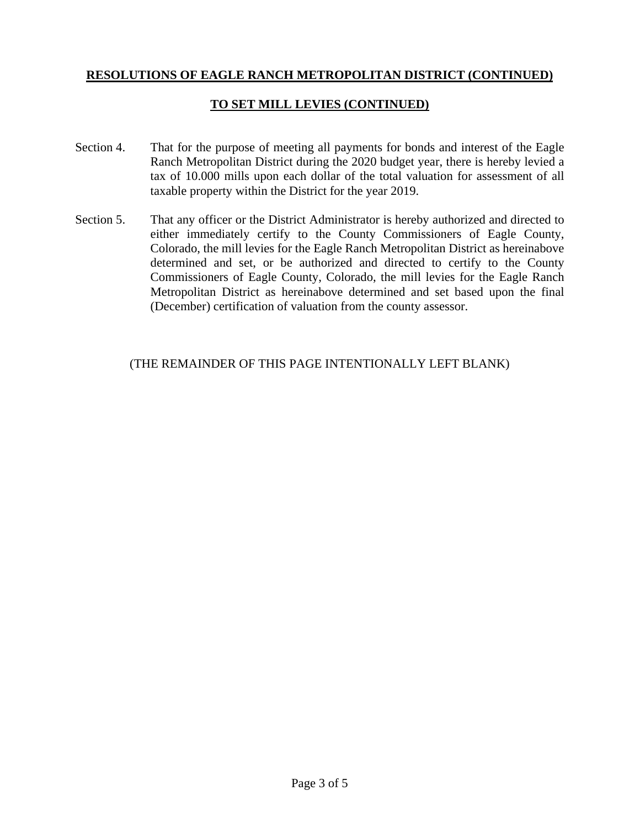## **TO SET MILL LEVIES (CONTINUED)**

- Section 4. That for the purpose of meeting all payments for bonds and interest of the Eagle Ranch Metropolitan District during the 2020 budget year, there is hereby levied a tax of 10.000 mills upon each dollar of the total valuation for assessment of all taxable property within the District for the year 2019.
- Section 5. That any officer or the District Administrator is hereby authorized and directed to either immediately certify to the County Commissioners of Eagle County, Colorado, the mill levies for the Eagle Ranch Metropolitan District as hereinabove determined and set, or be authorized and directed to certify to the County Commissioners of Eagle County, Colorado, the mill levies for the Eagle Ranch Metropolitan District as hereinabove determined and set based upon the final (December) certification of valuation from the county assessor.

#### (THE REMAINDER OF THIS PAGE INTENTIONALLY LEFT BLANK)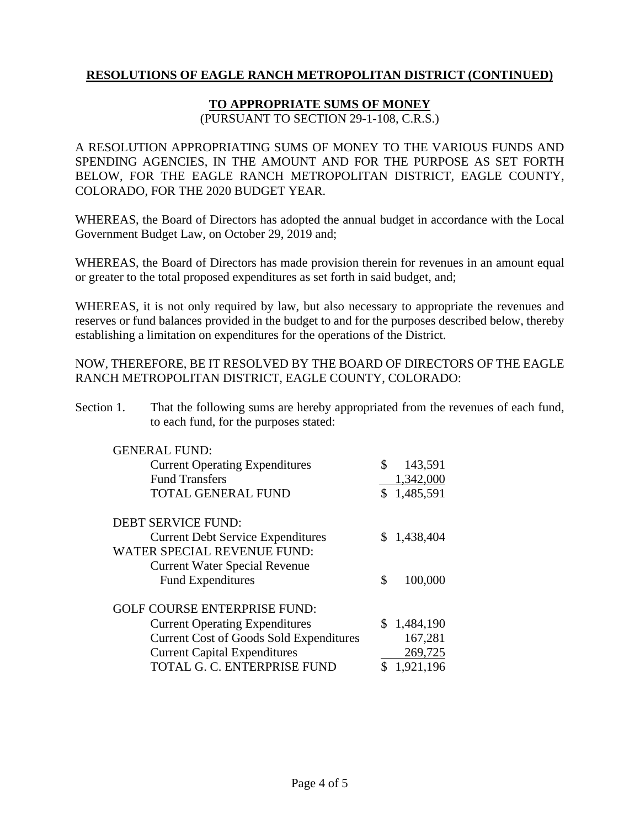#### **TO APPROPRIATE SUMS OF MONEY**

(PURSUANT TO SECTION 29-1-108, C.R.S.)

A RESOLUTION APPROPRIATING SUMS OF MONEY TO THE VARIOUS FUNDS AND SPENDING AGENCIES, IN THE AMOUNT AND FOR THE PURPOSE AS SET FORTH BELOW, FOR THE EAGLE RANCH METROPOLITAN DISTRICT, EAGLE COUNTY, COLORADO, FOR THE 2020 BUDGET YEAR.

WHEREAS, the Board of Directors has adopted the annual budget in accordance with the Local Government Budget Law, on October 29, 2019 and;

WHEREAS, the Board of Directors has made provision therein for revenues in an amount equal or greater to the total proposed expenditures as set forth in said budget, and;

WHEREAS, it is not only required by law, but also necessary to appropriate the revenues and reserves or fund balances provided in the budget to and for the purposes described below, thereby establishing a limitation on expenditures for the operations of the District.

NOW, THEREFORE, BE IT RESOLVED BY THE BOARD OF DIRECTORS OF THE EAGLE RANCH METROPOLITAN DISTRICT, EAGLE COUNTY, COLORADO:

Section 1. That the following sums are hereby appropriated from the revenues of each fund, to each fund, for the purposes stated:

| <b>GENERAL FUND:</b><br><b>Current Operating Expenditures</b><br><b>Fund Transfers</b> | \$<br>143,591<br>1,342,000 |
|----------------------------------------------------------------------------------------|----------------------------|
| TOTAL GENERAL FUND                                                                     | \$1,485,591                |
| <b>DEBT SERVICE FUND:</b>                                                              |                            |
| <b>Current Debt Service Expenditures</b>                                               | \$1,438,404                |
| WATER SPECIAL REVENUE FUND:                                                            |                            |
| <b>Current Water Special Revenue</b>                                                   |                            |
| <b>Fund Expenditures</b>                                                               | \$<br>100,000              |
| <b>GOLF COURSE ENTERPRISE FUND:</b>                                                    |                            |
| <b>Current Operating Expenditures</b>                                                  | \$1,484,190                |
| <b>Current Cost of Goods Sold Expenditures</b>                                         | 167,281                    |
| <b>Current Capital Expenditures</b>                                                    | 269,725                    |
| TOTAL G. C. ENTERPRISE FUND                                                            | 1,921,196                  |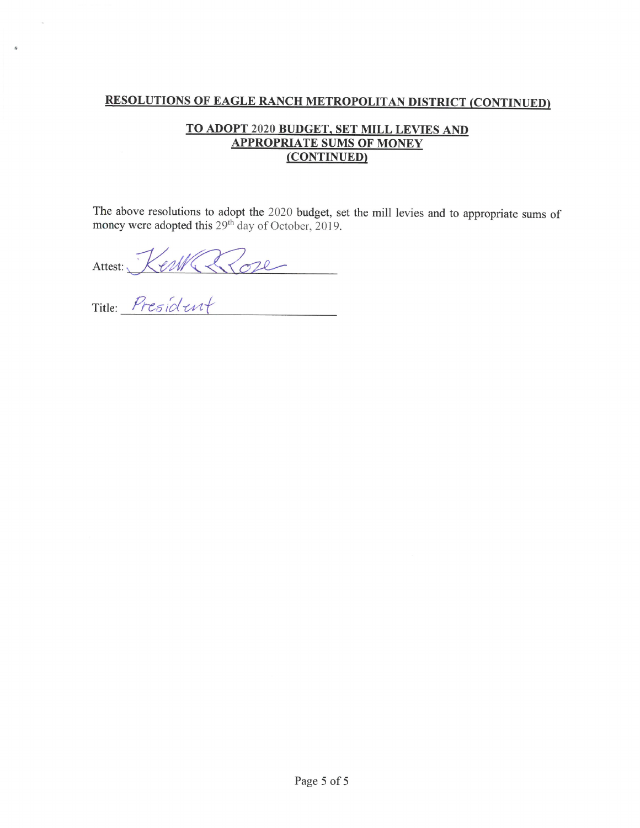## TO ADOPT 2020 BUDGET, SET MILL LEVIES AND **APPROPRIATE SUMS OF MONEY** (CONTINUED)

The above resolutions to adopt the 2020 budget, set the mill levies and to appropriate sums of money were adopted this  $29<sup>th</sup>$  day of October, 2019.

Attest: Ker Rose

 $\bar{h}$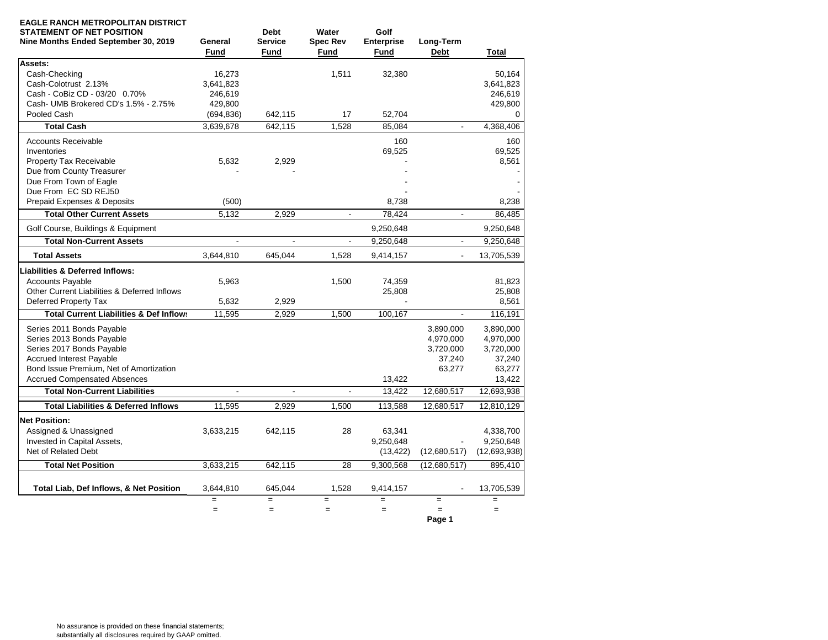| <b>EAGLE RANCH METROPOLITAN DISTRICT</b><br><b>STATEMENT OF NET POSITION</b><br>Nine Months Ended September 30, 2019 | General<br><b>Fund</b> | <b>Debt</b><br><b>Service</b><br>Fund | Water<br><b>Spec Rev</b><br><b>Fund</b> | Golf<br><b>Enterprise</b><br><b>Fund</b> | Long-Term<br><b>Debt</b> | <b>Total</b> |
|----------------------------------------------------------------------------------------------------------------------|------------------------|---------------------------------------|-----------------------------------------|------------------------------------------|--------------------------|--------------|
| Assets:                                                                                                              |                        |                                       |                                         |                                          |                          |              |
| Cash-Checking                                                                                                        | 16,273                 |                                       | 1,511                                   | 32,380                                   |                          | 50.164       |
| Cash-Colotrust 2.13%                                                                                                 | 3,641,823              |                                       |                                         |                                          |                          | 3,641,823    |
| Cash - CoBiz CD - 03/20 0.70%                                                                                        | 246,619                |                                       |                                         |                                          |                          | 246,619      |
| Cash- UMB Brokered CD's 1.5% - 2.75%                                                                                 | 429,800                |                                       |                                         |                                          |                          | 429,800      |
| Pooled Cash                                                                                                          | (694, 836)             | 642,115                               | 17                                      | 52,704                                   |                          | 0            |
| <b>Total Cash</b>                                                                                                    | 3,639,678              | 642,115                               | 1,528                                   | 85,084                                   | $\overline{a}$           | 4,368,406    |
| <b>Accounts Receivable</b>                                                                                           |                        |                                       |                                         | 160                                      |                          | 160          |
| Inventories                                                                                                          |                        |                                       |                                         | 69,525                                   |                          | 69,525       |
| Property Tax Receivable                                                                                              | 5,632                  | 2,929                                 |                                         |                                          |                          | 8,561        |
| Due from County Treasurer                                                                                            |                        |                                       |                                         |                                          |                          |              |
| Due From Town of Eagle                                                                                               |                        |                                       |                                         |                                          |                          |              |
| Due From EC SD REJ50                                                                                                 |                        |                                       |                                         |                                          |                          |              |
| Prepaid Expenses & Deposits                                                                                          | (500)                  |                                       |                                         | 8.738                                    |                          | 8,238        |
| <b>Total Other Current Assets</b>                                                                                    | 5,132                  | 2,929                                 | $\blacksquare$                          | 78,424                                   | $\blacksquare$           | 86,485       |
| Golf Course, Buildings & Equipment                                                                                   |                        |                                       |                                         | 9,250,648                                |                          | 9,250,648    |
| <b>Total Non-Current Assets</b>                                                                                      | $\blacksquare$         | $\overline{a}$                        | $\overline{\phantom{a}}$                | 9,250,648                                | $\overline{a}$           | 9,250,648    |
| <b>Total Assets</b>                                                                                                  | 3.644.810              | 645.044                               | 1.528                                   | 9,414,157                                |                          | 13,705,539   |
| <b>Liabilities &amp; Deferred Inflows:</b>                                                                           |                        |                                       |                                         |                                          |                          |              |
| <b>Accounts Pavable</b>                                                                                              | 5.963                  |                                       | 1.500                                   | 74,359                                   |                          | 81.823       |
| Other Current Liabilities & Deferred Inflows                                                                         |                        |                                       |                                         | 25,808                                   |                          | 25,808       |
| Deferred Property Tax                                                                                                | 5,632                  | 2,929                                 |                                         |                                          |                          | 8,561        |
| <b>Total Current Liabilities &amp; Def Inflows</b>                                                                   | 11,595                 | 2,929                                 | 1,500                                   | 100,167                                  |                          | 116,191      |
| Series 2011 Bonds Payable                                                                                            |                        |                                       |                                         |                                          | 3,890,000                | 3,890,000    |
| Series 2013 Bonds Payable                                                                                            |                        |                                       |                                         |                                          | 4,970,000                | 4,970,000    |
| Series 2017 Bonds Payable                                                                                            |                        |                                       |                                         |                                          | 3,720,000                | 3,720,000    |
| <b>Accrued Interest Payable</b>                                                                                      |                        |                                       |                                         |                                          | 37,240                   | 37,240       |
| Bond Issue Premium, Net of Amortization                                                                              |                        |                                       |                                         |                                          | 63,277                   | 63,277       |
| <b>Accrued Compensated Absences</b>                                                                                  |                        |                                       |                                         | 13,422                                   |                          | 13,422       |
| <b>Total Non-Current Liabilities</b>                                                                                 | $\blacksquare$         | $\mathbf{r}$                          | ÷,                                      | 13,422                                   | 12,680,517               | 12,693,938   |
| <b>Total Liabilities &amp; Deferred Inflows</b>                                                                      | 11,595                 | 2,929                                 | 1,500                                   | 113,588                                  | 12,680,517               | 12,810,129   |
| <b>Net Position:</b>                                                                                                 |                        |                                       |                                         |                                          |                          |              |
| Assigned & Unassigned                                                                                                | 3,633,215              | 642,115                               | 28                                      | 63.341                                   |                          | 4,338,700    |
| Invested in Capital Assets,                                                                                          |                        |                                       |                                         | 9,250,648                                |                          | 9,250,648    |
| Net of Related Debt                                                                                                  |                        |                                       |                                         | (13, 422)                                | (12,680,517)             | (12,693,938) |
| <b>Total Net Position</b>                                                                                            | 3,633,215              | 642,115                               | 28                                      | 9,300,568                                | (12,680,517)             | 895,410      |
|                                                                                                                      |                        |                                       |                                         |                                          |                          |              |
| Total Liab, Def Inflows, & Net Position                                                                              | 3,644,810              | 645,044                               | 1,528                                   | 9,414,157                                |                          | 13,705,539   |
|                                                                                                                      |                        | $=$                                   | $=$                                     | $=$                                      | $=$                      |              |
|                                                                                                                      | $=$                    | $=$                                   | $\equiv$                                | $\equiv$                                 | $=$<br>Page 1            | $\equiv$     |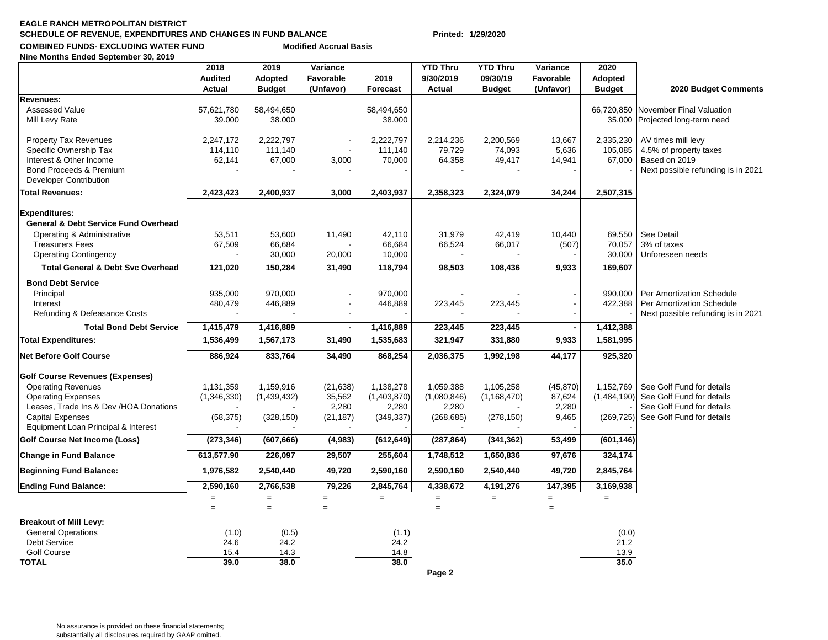#### **EAGLE RANCH METROPOLITAN DISTRICTSCHEDULE OF REVENUE, EXPENDITURES AND CHANGES IN FUND BALANCE Printed: 1/29/2020 COMBINED FUNDS- EXCLUDING WATER FUND Modified Accrual Basis**

**Nine Months Ended September 30, 2019**

|                                                                   | 2018<br><b>Audited</b> | 2019<br>Adopted      | Variance<br>Favorable | 2019                 | <b>YTD Thru</b><br>9/30/2019 | <b>YTD Thru</b><br>09/30/19 | Variance<br>Favorable | 2020<br>Adopted      |                                                        |
|-------------------------------------------------------------------|------------------------|----------------------|-----------------------|----------------------|------------------------------|-----------------------------|-----------------------|----------------------|--------------------------------------------------------|
|                                                                   | Actual                 | <b>Budget</b>        | (Unfavor)             | <b>Forecast</b>      | Actual                       | <b>Budget</b>               | (Unfavor)             | <b>Budget</b>        | 2020 Budget Comments                                   |
| Revenues:                                                         |                        |                      |                       |                      |                              |                             |                       |                      |                                                        |
| <b>Assessed Value</b><br>Mill Levy Rate                           | 57,621,780<br>39.000   | 58,494,650<br>38.000 |                       | 58,494,650<br>38.000 |                              |                             |                       | 66,720,850<br>35.000 | November Final Valuation<br>Projected long-term need   |
| <b>Property Tax Revenues</b>                                      | 2,247,172              | 2,222,797            |                       | 2,222,797            | 2,214,236                    | 2,200,569                   | 13,667                | 2,335,230            | AV times mill levy                                     |
| Specific Ownership Tax<br>Interest & Other Income                 | 114,110<br>62,141      | 111,140<br>67,000    |                       | 111,140<br>70,000    | 79,729<br>64,358             | 74,093<br>49,417            | 5,636                 | 105,085<br>67,000    | 4.5% of property taxes<br>Based on 2019                |
| Bond Proceeds & Premium                                           |                        |                      | 3,000                 |                      |                              |                             | 14,941                |                      | Next possible refunding is in 2021                     |
| <b>Developer Contribution</b>                                     |                        |                      |                       |                      |                              |                             |                       |                      |                                                        |
| <b>Total Revenues:</b>                                            | 2,423,423              | 2,400,937            | 3,000                 | 2,403,937            | 2,358,323                    | 2,324,079                   | 34,244                | 2,507,315            |                                                        |
| <b>Expenditures:</b>                                              |                        |                      |                       |                      |                              |                             |                       |                      |                                                        |
| <b>General &amp; Debt Service Fund Overhead</b>                   |                        |                      |                       |                      |                              |                             |                       |                      |                                                        |
| Operating & Administrative                                        | 53,511                 | 53,600               | 11,490                | 42,110               | 31,979                       | 42,419                      | 10,440                | 69,550               | See Detail                                             |
| <b>Treasurers Fees</b>                                            | 67,509                 | 66,684               |                       | 66,684               | 66,524                       | 66,017                      | (507)                 | 70,057               | 3% of taxes                                            |
| <b>Operating Contingency</b>                                      |                        | 30,000               | 20,000                | 10,000               |                              |                             |                       | 30,000               | Unforeseen needs                                       |
| <b>Total General &amp; Debt Svc Overhead</b>                      | 121,020                | 150,284              | 31,490                | 118,794              | 98,503                       | 108,436                     | 9,933                 | 169,607              |                                                        |
| <b>Bond Debt Service</b>                                          |                        |                      |                       |                      |                              |                             |                       |                      |                                                        |
| Principal                                                         | 935,000                | 970,000              |                       | 970,000              |                              |                             |                       | 990,000              | Per Amortization Schedule                              |
| Interest                                                          | 480,479                | 446,889              |                       | 446,889              | 223,445                      | 223,445                     |                       | 422,388              | Per Amortization Schedule                              |
| Refunding & Defeasance Costs                                      |                        |                      |                       |                      |                              |                             |                       |                      | Next possible refunding is in 2021                     |
| <b>Total Bond Debt Service</b>                                    | 1,415,479              | 1,416,889            | $\blacksquare$        | 1,416,889            | 223,445                      | 223,445                     |                       | 1,412,388            |                                                        |
| <b>Total Expenditures:</b>                                        | 1,536,499              | 1,567,173            | 31,490                | 1,535,683            | 321,947                      | 331,880                     | 9,933                 | 1,581,995            |                                                        |
| Net Before Golf Course                                            | 886,924                | 833,764              | 34,490                | 868,254              | 2,036,375                    | 1,992,198                   | 44,177                | 925,320              |                                                        |
| <b>Golf Course Revenues (Expenses)</b>                            |                        |                      |                       |                      |                              |                             |                       |                      |                                                        |
| <b>Operating Revenues</b>                                         | 1,131,359              | 1,159,916            | (21, 638)             | 1,138,278            | 1,059,388                    | 1,105,258                   | (45, 870)             | 1,152,769            | See Golf Fund for details                              |
| <b>Operating Expenses</b>                                         | (1,346,330)            | (1,439,432)          | 35,562                | (1,403,870)          | (1,080,846)                  | (1, 168, 470)               | 87,624                | (1,484,190)          | See Golf Fund for details                              |
| Leases, Trade Ins & Dev /HOA Donations<br><b>Capital Expenses</b> | (58, 375)              | (328, 150)           | 2,280<br>(21, 187)    | 2,280<br>(349, 337)  | 2,280<br>(268, 685)          | (278, 150)                  | 2,280<br>9,465        | (269, 725)           | See Golf Fund for details<br>See Golf Fund for details |
| Equipment Loan Principal & Interest                               |                        |                      |                       |                      |                              |                             |                       |                      |                                                        |
| <b>Golf Course Net Income (Loss)</b>                              | (273, 346)             | (607, 666)           | (4,983)               | (612, 649)           | (287, 864)                   | (341, 362)                  | 53,499                | (601, 146)           |                                                        |
| <b>Change in Fund Balance</b>                                     | 613,577.90             | 226,097              | 29,507                | 255,604              | 1,748,512                    | 1,650,836                   | 97,676                | 324,174              |                                                        |
| <b>Beginning Fund Balance:</b>                                    | 1,976,582              | 2,540,440            | 49,720                | 2,590,160            | 2,590,160                    | 2,540,440                   | 49,720                | 2,845,764            |                                                        |
| <b>Ending Fund Balance:</b>                                       | 2,590,160              | 2,766,538            | 79,226                | 2,845,764            | 4,338,672                    | 4,191,276                   | 147,395               | 3,169,938            |                                                        |
|                                                                   | $\equiv$               | $=$                  | $=$                   | $\equiv$             | $=$                          | $\equiv$                    | $\equiv$              | $\qquad \qquad =$    |                                                        |
|                                                                   | $=$                    | $=$                  | $=$                   |                      | $=$                          |                             | $=$                   |                      |                                                        |
| <b>Breakout of Mill Levy:</b>                                     |                        |                      |                       |                      |                              |                             |                       |                      |                                                        |
| <b>General Operations</b>                                         | (1.0)                  | (0.5)                |                       | (1.1)                |                              |                             |                       | (0.0)                |                                                        |
| <b>Debt Service</b><br><b>Golf Course</b>                         | 24.6<br>15.4           | 24.2                 |                       | 24.2                 |                              |                             |                       | 21.2                 |                                                        |
| <b>TOTAL</b>                                                      | 39.0                   | 14.3<br>38.0         |                       | 14.8<br>38.0         |                              |                             |                       | 13.9<br>35.0         |                                                        |
|                                                                   |                        |                      |                       |                      | Page 2                       |                             |                       |                      |                                                        |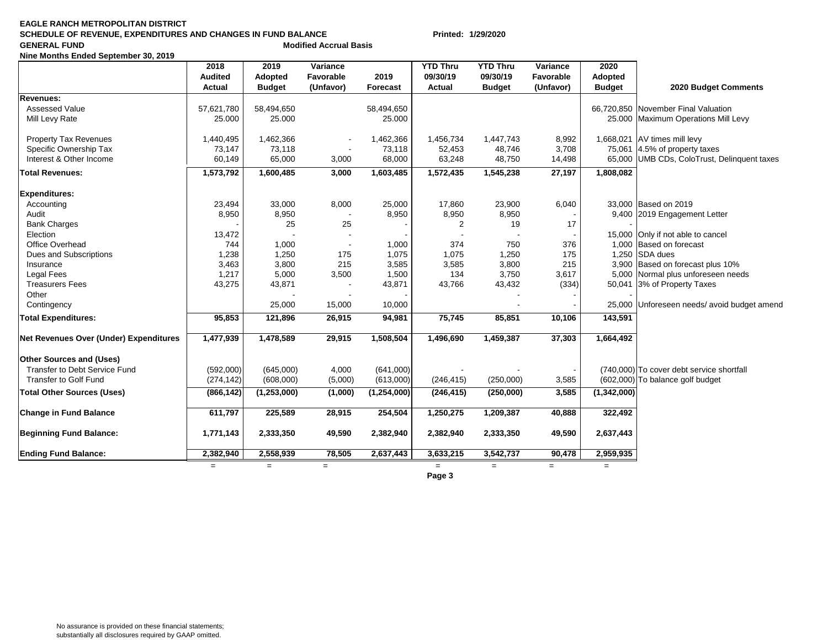#### **EAGLE RANCH METROPOLITAN DISTRICTSCHEDULE OF REVENUE, EXPENDITURES AND CHANGES IN FUND BALANCE Printed: 1/29/2020 GENERAL FUND**<br> **CENERAL FUND**

**Nine Months Ended September 30, 2019**

|                                        | 2018<br><b>Audited</b><br>Actual | 2019<br>Adopted<br><b>Budget</b> | Variance<br>Favorable<br>(Unfavor) | 2019<br><b>Forecast</b> | <b>YTD Thru</b><br>09/30/19<br>Actual | <b>YTD Thru</b><br>09/30/19<br><b>Budget</b> | Variance<br>Favorable<br>(Unfavor) | 2020<br>Adopted<br><b>Budget</b> | 2020 Budget Comments                        |
|----------------------------------------|----------------------------------|----------------------------------|------------------------------------|-------------------------|---------------------------------------|----------------------------------------------|------------------------------------|----------------------------------|---------------------------------------------|
| <b>Revenues:</b>                       |                                  |                                  |                                    |                         |                                       |                                              |                                    |                                  |                                             |
| Assessed Value                         | 57,621,780                       | 58,494,650                       |                                    | 58,494,650              |                                       |                                              |                                    |                                  | 66,720,850 November Final Valuation         |
| Mill Levy Rate                         | 25.000                           | 25.000                           |                                    | 25.000                  |                                       |                                              |                                    |                                  | 25.000 Maximum Operations Mill Levy         |
| <b>Property Tax Revenues</b>           | 1,440,495                        | 1,462,366                        |                                    | 1,462,366               | 1,456,734                             | 1,447,743                                    | 8,992                              |                                  | 1,668,021 AV times mill levy                |
| Specific Ownership Tax                 | 73,147                           | 73,118                           |                                    | 73,118                  | 52,453                                | 48,746                                       | 3,708                              |                                  | 75,061 $ 4.5\%$ of property taxes           |
| Interest & Other Income                | 60,149                           | 65,000                           | 3,000                              | 68,000                  | 63,248                                | 48,750                                       | 14,498                             |                                  | 65,000 UMB CDs, ColoTrust, Delinquent taxes |
| <b>Total Revenues:</b>                 | 1,573,792                        | 1,600,485                        | 3,000                              | 1,603,485               | 1,572,435                             | 1,545,238                                    | 27,197                             | 1,808,082                        |                                             |
| <b>Expenditures:</b>                   |                                  |                                  |                                    |                         |                                       |                                              |                                    |                                  |                                             |
| Accounting                             | 23,494                           | 33,000                           | 8,000                              | 25,000                  | 17,860                                | 23,900                                       | 6,040                              |                                  | 33,000 Based on 2019                        |
| Audit                                  | 8,950                            | 8,950                            |                                    | 8,950                   | 8,950                                 | 8,950                                        |                                    |                                  | 9,400 2019 Engagement Letter                |
| <b>Bank Charges</b>                    |                                  | 25                               | 25                                 |                         | 2                                     | 19                                           | 17                                 |                                  |                                             |
| Election                               | 13,472                           |                                  |                                    |                         |                                       |                                              |                                    |                                  | 15,000 Only if not able to cancel           |
| Office Overhead                        | 744                              | 1,000                            |                                    | 1,000                   | 374                                   | 750                                          | 376                                |                                  | 1,000 Based on forecast                     |
| Dues and Subscriptions                 | 1,238                            | 1,250                            | 175                                | 1,075                   | 1,075                                 | 1,250                                        | 175                                |                                  | 1,250 SDA dues                              |
| Insurance                              | 3,463                            | 3,800                            | 215                                | 3,585                   | 3,585                                 | 3,800                                        | 215                                |                                  | 3,900 Based on forecast plus 10%            |
| <b>Legal Fees</b>                      | 1,217                            | 5,000                            | 3,500                              | 1,500                   | 134                                   | 3,750                                        | 3,617                              |                                  | 5,000 Normal plus unforeseen needs          |
| <b>Treasurers Fees</b>                 | 43,275                           | 43,871                           |                                    | 43,871                  | 43,766                                | 43,432                                       | (334)                              |                                  | 50,041 3% of Property Taxes                 |
| Other                                  |                                  |                                  |                                    |                         |                                       |                                              |                                    |                                  |                                             |
| Contingency                            |                                  | 25,000                           | 15,000                             | 10,000                  |                                       |                                              |                                    |                                  | 25,000 Unforeseen needs/ avoid budget amend |
| <b>Total Expenditures:</b>             | 95,853                           | 121,896                          | 26,915                             | 94,981                  | 75,745                                | 85,851                                       | 10,106                             | 143,591                          |                                             |
| Net Revenues Over (Under) Expenditures | 1,477,939                        | 1,478,589                        | 29,915                             | 1,508,504               | 1,496,690                             | 1,459,387                                    | 37,303                             | 1,664,492                        |                                             |
| <b>Other Sources and (Uses)</b>        |                                  |                                  |                                    |                         |                                       |                                              |                                    |                                  |                                             |
| Transfer to Debt Service Fund          | (592,000)                        | (645,000)                        | 4,000                              | (641,000)               |                                       |                                              |                                    |                                  | (740,000) To cover debt service shortfall   |
| <b>Transfer to Golf Fund</b>           | (274, 142)                       | (608,000)                        | (5,000)                            | (613,000)               | (246, 415)                            | (250,000)                                    | 3,585                              |                                  | (602,000) To balance golf budget            |
| <b>Total Other Sources (Uses)</b>      | (866, 142)                       | (1, 253, 000)                    | (1,000)                            | (1,254,000)             | (246, 415)                            | (250,000)                                    | 3,585                              | (1,342,000)                      |                                             |
| <b>Change in Fund Balance</b>          | 611,797                          | 225,589                          | 28,915                             | 254,504                 | 1,250,275                             | 1,209,387                                    | 40,888                             | 322,492                          |                                             |
| <b>Beginning Fund Balance:</b>         | 1,771,143                        | 2,333,350                        | 49,590                             | 2,382,940               | 2,382,940                             | 2,333,350                                    | 49,590                             | 2,637,443                        |                                             |
| <b>Ending Fund Balance:</b>            | 2,382,940                        | 2,558,939                        | 78,505                             | 2,637,443               | 3,633,215                             | 3,542,737                                    | 90,478                             | 2,959,935                        |                                             |
|                                        | $=$                              | $=$                              | $=$                                |                         | $=$<br>Dogo <sup>2</sup>              | $=$                                          | $=$                                | $=$                              |                                             |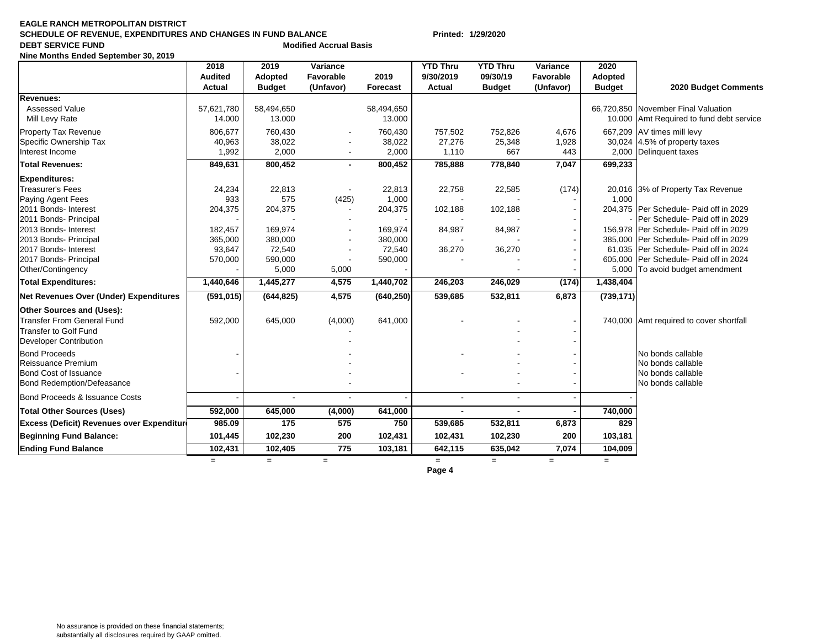#### **EAGLE RANCH METROPOLITAN DISTRICT SCHEDULE OF REVENUE, EXPENDITURES AND CHANGES IN FUND BALANCE Printed: 1/29/2020 DEBT SERVICE FUND 1988 1988 Modified Accrual Basis**

**Nine Months Ended September 30, 2019**

|                                                   | 2018<br><b>Audited</b><br>Actual | 2019<br><b>Adopted</b><br><b>Budget</b> | Variance<br>Favorable<br>(Unfavor) | 2019<br>Forecast | <b>YTD Thru</b><br>9/30/2019<br><b>Actual</b> | <b>YTD Thru</b><br>09/30/19<br><b>Budget</b> | Variance<br>Favorable<br>(Unfavor) | 2020<br>Adopted<br><b>Budget</b> | 2020 Budget Comments                     |
|---------------------------------------------------|----------------------------------|-----------------------------------------|------------------------------------|------------------|-----------------------------------------------|----------------------------------------------|------------------------------------|----------------------------------|------------------------------------------|
| Revenues:                                         |                                  |                                         |                                    |                  |                                               |                                              |                                    |                                  |                                          |
| <b>Assessed Value</b>                             | 57,621,780                       | 58,494,650                              |                                    | 58,494,650       |                                               |                                              |                                    |                                  | 66,720,850 November Final Valuation      |
| Mill Levy Rate                                    | 14.000                           | 13.000                                  |                                    | 13.000           |                                               |                                              |                                    |                                  | 10.000 Amt Required to fund debt service |
| <b>Property Tax Revenue</b>                       | 806,677                          | 760,430                                 |                                    | 760,430          | 757,502                                       | 752,826                                      | 4,676                              |                                  | 667,209 AV times mill levy               |
| Specific Ownership Tax                            | 40,963                           | 38,022                                  |                                    | 38,022           | 27,276                                        | 25,348                                       | 1,928                              |                                  | 30,024 $ 4.5\%$ of property taxes        |
| Interest Income                                   | 1,992                            | 2,000                                   | $\sim$                             | 2,000            | 1,110                                         | 667                                          | 443                                | 2,000                            | Delinquent taxes                         |
| <b>Total Revenues:</b>                            | 849,631                          | 800,452                                 | $\blacksquare$                     | 800,452          | 785,888                                       | 778,840                                      | 7,047                              | 699,233                          |                                          |
| <b>Expenditures:</b>                              |                                  |                                         |                                    |                  |                                               |                                              |                                    |                                  |                                          |
| <b>Treasurer's Fees</b>                           | 24,234                           | 22,813                                  | $\overline{\phantom{a}}$           | 22,813           | 22,758                                        | 22,585                                       | (174)                              |                                  | 20,016 3% of Property Tax Revenue        |
| Paying Agent Fees                                 | 933                              | 575                                     | (425)                              | 1,000            |                                               |                                              |                                    | 1,000                            |                                          |
| 2011 Bonds- Interest                              | 204,375                          | 204,375                                 | $\overline{\phantom{a}}$           | 204,375          | 102,188                                       | 102,188                                      |                                    |                                  | 204,375 Per Schedule- Paid off in 2029   |
| 2011 Bonds- Principal                             |                                  |                                         |                                    |                  |                                               |                                              |                                    |                                  | Per Schedule- Paid off in 2029           |
| 2013 Bonds- Interest                              | 182,457                          | 169,974                                 |                                    | 169,974          | 84,987                                        | 84,987                                       |                                    |                                  | 156,978 Per Schedule- Paid off in 2029   |
| 2013 Bonds- Principal                             | 365,000                          | 380,000                                 |                                    | 380,000          |                                               |                                              |                                    |                                  | 385,000 Per Schedule- Paid off in 2029   |
| 2017 Bonds- Interest                              | 93,647                           | 72,540                                  |                                    | 72,540           | 36,270                                        | 36,270                                       |                                    |                                  | 61,035 Per Schedule- Paid off in 2024    |
| 2017 Bonds- Principal                             | 570,000                          | 590,000                                 |                                    | 590,000          |                                               |                                              |                                    |                                  | 605,000 Per Schedule- Paid off in 2024   |
| Other/Contingency                                 |                                  | 5,000                                   | 5,000                              |                  |                                               |                                              |                                    |                                  | 5,000 To avoid budget amendment          |
| <b>Total Expenditures:</b>                        | 1,440,646                        | 1,445,277                               | 4,575                              | 1,440,702        | 246,203                                       | 246,029                                      | (174)                              | 1,438,404                        |                                          |
| Net Revenues Over (Under) Expenditures            | (591, 015)                       | (644, 825)                              | 4,575                              | (640, 250)       | 539,685                                       | 532,811                                      | 6,873                              | (739, 171)                       |                                          |
| <b>Other Sources and (Uses):</b>                  |                                  |                                         |                                    |                  |                                               |                                              |                                    |                                  |                                          |
| Transfer From General Fund                        | 592,000                          | 645,000                                 | (4,000)                            | 641,000          |                                               |                                              |                                    |                                  | 740,000 Amt required to cover shortfall  |
| <b>Transfer to Golf Fund</b>                      |                                  |                                         |                                    |                  |                                               |                                              |                                    |                                  |                                          |
| Developer Contribution                            |                                  |                                         |                                    |                  |                                               |                                              |                                    |                                  |                                          |
| <b>Bond Proceeds</b>                              |                                  |                                         |                                    |                  |                                               |                                              |                                    |                                  | No bonds callable                        |
| Reissuance Premium                                |                                  |                                         |                                    |                  |                                               |                                              |                                    |                                  | No bonds callable                        |
| <b>Bond Cost of Issuance</b>                      |                                  |                                         |                                    |                  |                                               |                                              |                                    |                                  | No bonds callable                        |
| Bond Redemption/Defeasance                        |                                  |                                         |                                    |                  |                                               |                                              |                                    |                                  | No bonds callable                        |
| Bond Proceeds & Issuance Costs                    |                                  |                                         | $\overline{\phantom{a}}$           |                  |                                               |                                              |                                    |                                  |                                          |
| <b>Total Other Sources (Uses)</b>                 | 592,000                          | 645,000                                 | (4,000)                            | 641,000          |                                               |                                              |                                    | 740,000                          |                                          |
| <b>Excess (Deficit) Revenues over Expenditure</b> | 985.09                           | 175                                     | 575                                | 750              | 539,685                                       | 532,811                                      | 6,873                              | 829                              |                                          |
| <b>Beginning Fund Balance:</b>                    | 101,445                          | 102,230                                 | 200                                | 102,431          | 102,431                                       | 102,230                                      | 200                                | 103,181                          |                                          |
| <b>Ending Fund Balance</b>                        | 102,431                          | 102,405                                 | 775                                | 103,181          | 642,115                                       | 635,042                                      | 7,074                              | 104,009                          |                                          |
|                                                   | $=$                              | $=$                                     | $=$                                |                  | $=$                                           | $=$                                          | $\qquad \qquad =$                  | $=$                              |                                          |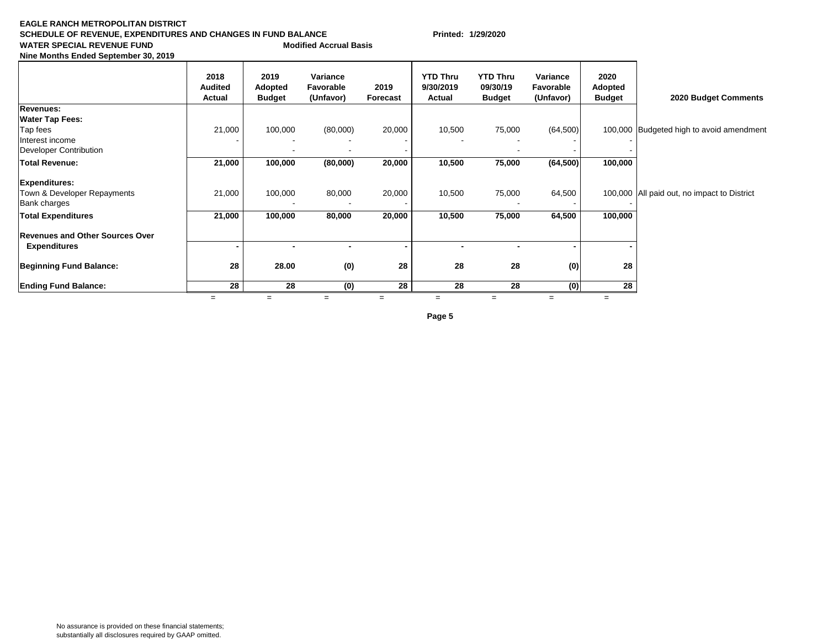#### **EAGLE RANCH METROPOLITAN DISTRICT SCHEDULE OF REVENUE, EXPENDITURES AND CHANGES IN FUND BALANCE Printed: 1/29/2020 WATER SPECIAL REVENUE FUND Modified Accrual Basis**

|  |  |  | Nine Months Ended September 30, 2019 |  |  |
|--|--|--|--------------------------------------|--|--|
|--|--|--|--------------------------------------|--|--|

|                                        | 2018<br><b>Audited</b><br>Actual | 2019<br>Adopted<br><b>Budget</b> | Variance<br>Favorable<br>(Unfavor) | 2019<br>Forecast | <b>YTD Thru</b><br>9/30/2019<br>Actual | <b>YTD Thru</b><br>09/30/19<br><b>Budget</b> | Variance<br>Favorable<br>(Unfavor) | 2020<br>Adopted<br><b>Budget</b> | 2020 Budget Comments                        |
|----------------------------------------|----------------------------------|----------------------------------|------------------------------------|------------------|----------------------------------------|----------------------------------------------|------------------------------------|----------------------------------|---------------------------------------------|
| <b>Revenues:</b>                       |                                  |                                  |                                    |                  |                                        |                                              |                                    |                                  |                                             |
| <b>Water Tap Fees:</b>                 |                                  |                                  |                                    |                  |                                        |                                              |                                    |                                  |                                             |
| Tap fees                               | 21,000                           | 100,000                          | (80,000)                           | 20,000           | 10,500                                 | 75,000                                       | (64,500)                           |                                  | 100,000 Budgeted high to avoid amendment    |
| Interest income                        |                                  |                                  |                                    |                  |                                        |                                              |                                    |                                  |                                             |
| Developer Contribution                 |                                  |                                  |                                    |                  |                                        |                                              |                                    |                                  |                                             |
| <b>Total Revenue:</b>                  | 21,000                           | 100,000                          | (80,000)                           | 20,000           | 10,500                                 | 75,000                                       | (64, 500)                          | 100,000                          |                                             |
| <b>Expenditures:</b>                   |                                  |                                  |                                    |                  |                                        |                                              |                                    |                                  |                                             |
| Town & Developer Repayments            | 21,000                           | 100,000                          | 80,000                             | 20,000           | 10,500                                 | 75,000                                       | 64,500                             |                                  | 100,000 All paid out, no impact to District |
| <b>Bank charges</b>                    |                                  |                                  |                                    |                  |                                        |                                              |                                    |                                  |                                             |
| <b>Total Expenditures</b>              | 21,000                           | 100,000                          | 80,000                             | 20,000           | 10,500                                 | 75,000                                       | 64,500                             | 100,000                          |                                             |
| <b>Revenues and Other Sources Over</b> |                                  |                                  |                                    |                  |                                        |                                              |                                    |                                  |                                             |
| <b>Expenditures</b>                    |                                  |                                  |                                    |                  | -                                      |                                              |                                    |                                  |                                             |
| <b>Beginning Fund Balance:</b>         | 28                               | 28.00                            | (0)                                | 28               | 28                                     | 28                                           | (0)                                | 28                               |                                             |
| <b>Ending Fund Balance:</b>            | 28                               | 28                               | (0)                                | 28               | 28                                     | 28                                           | (0)                                | 28                               |                                             |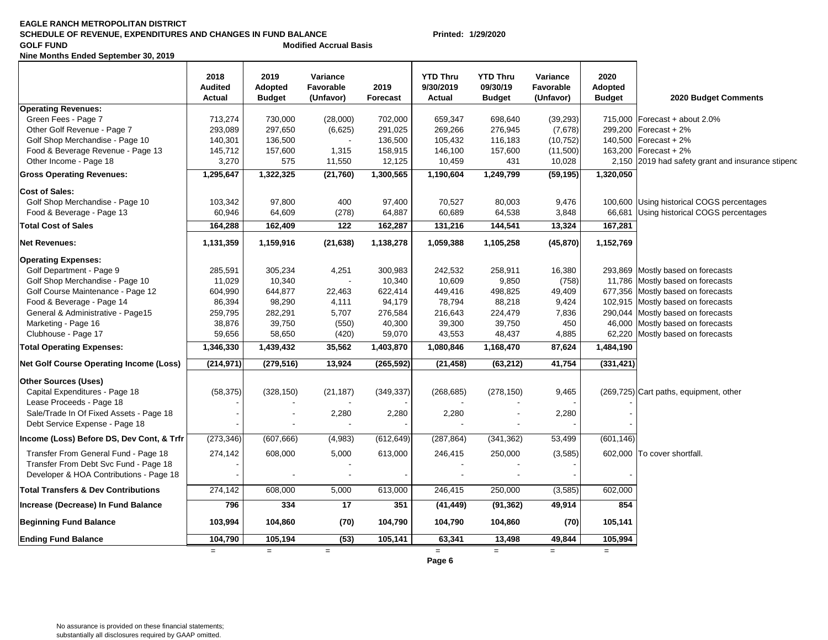#### **EAGLE RANCH METROPOLITAN DISTRICT SCHEDULE OF REVENUE, EXPENDITURES AND CHANGES IN FUND BALANCE Printed: 1/29/2020 Modified Accrual Basis**

**Nine Months Ended September 30, 2019**

|                                                | 2018<br><b>Audited</b><br>Actual | 2019<br>Adopted<br><b>Budget</b> | Variance<br>Favorable<br>(Unfavor) | 2019<br>Forecast | <b>YTD Thru</b><br>9/30/2019<br>Actual | <b>YTD Thru</b><br>09/30/19<br><b>Budget</b> | Variance<br>Favorable<br>(Unfavor) | 2020<br>Adopted<br><b>Budget</b> | 2020 Budget Comments                              |
|------------------------------------------------|----------------------------------|----------------------------------|------------------------------------|------------------|----------------------------------------|----------------------------------------------|------------------------------------|----------------------------------|---------------------------------------------------|
| <b>Operating Revenues:</b>                     |                                  |                                  |                                    |                  |                                        |                                              |                                    |                                  |                                                   |
| Green Fees - Page 7                            | 713,274                          | 730,000                          | (28,000)                           | 702,000          | 659,347                                | 698,640                                      | (39, 293)                          |                                  | 715,000   Forecast + about 2.0%                   |
| Other Golf Revenue - Page 7                    | 293,089                          | 297,650                          | (6,625)                            | 291,025          | 269,266                                | 276,945                                      | (7,678)                            |                                  | 299,200 Forecast + 2%                             |
| Golf Shop Merchandise - Page 10                | 140,301                          | 136,500                          |                                    | 136,500          | 105,432                                | 116,183                                      | (10, 752)                          |                                  | 140,500 Forecast + 2%                             |
| Food & Beverage Revenue - Page 13              | 145,712                          | 157,600                          | 1,315                              | 158,915          | 146,100                                | 157,600                                      | (11,500)                           |                                  | 163,200 Forecast + 2%                             |
| Other Income - Page 18                         | 3,270                            | 575                              | 11,550                             | 12,125           | 10,459                                 | 431                                          | 10,028                             |                                  | 2,150 2019 had safety grant and insurance stipend |
| <b>Gross Operating Revenues:</b>               | 1,295,647                        | 1,322,325                        | (21, 760)                          | 1,300,565        | 1,190,604                              | 1,249,799                                    | (59, 195)                          | 1,320,050                        |                                                   |
| <b>Cost of Sales:</b>                          |                                  |                                  |                                    |                  |                                        |                                              |                                    |                                  |                                                   |
| Golf Shop Merchandise - Page 10                | 103,342                          | 97,800                           | 400                                | 97,400           | 70,527                                 | 80,003                                       | 9,476                              |                                  | 100,600 Using historical COGS percentages         |
| Food & Beverage - Page 13                      | 60,946                           | 64,609                           | (278)                              | 64,887           | 60,689                                 | 64,538                                       | 3,848                              | 66,681                           | Using historical COGS percentages                 |
| <b>Total Cost of Sales</b>                     | 164,288                          | 162,409                          | 122                                | 162,287          | 131,216                                | 144,541                                      | 13,324                             | 167,281                          |                                                   |
| <b>Net Revenues:</b>                           | 1,131,359                        | 1,159,916                        | (21, 638)                          | 1,138,278        | 1,059,388                              | 1,105,258                                    | (45, 870)                          | 1,152,769                        |                                                   |
| <b>Operating Expenses:</b>                     |                                  |                                  |                                    |                  |                                        |                                              |                                    |                                  |                                                   |
| Golf Department - Page 9                       | 285,591                          | 305,234                          | 4,251                              | 300,983          | 242,532                                | 258,911                                      | 16,380                             |                                  | 293,869 Mostly based on forecasts                 |
| Golf Shop Merchandise - Page 10                | 11,029                           | 10,340                           |                                    | 10,340           | 10,609                                 | 9,850                                        | (758)                              |                                  | 11,786 Mostly based on forecasts                  |
| Golf Course Maintenance - Page 12              | 604,990                          | 644,877                          | 22,463                             | 622,414          | 449,416                                | 498,825                                      | 49,409                             |                                  | 677,356 Mostly based on forecasts                 |
| Food & Beverage - Page 14                      | 86,394                           | 98,290                           | 4,111                              | 94,179           | 78,794                                 | 88,218                                       | 9,424                              |                                  | 102,915 Mostly based on forecasts                 |
| General & Administrative - Page15              | 259,795                          | 282,291                          | 5,707                              | 276,584          | 216,643                                | 224,479                                      | 7,836                              |                                  | 290,044 Mostly based on forecasts                 |
| Marketing - Page 16                            | 38,876                           | 39,750                           | (550)                              | 40,300           | 39,300                                 | 39,750                                       | 450                                |                                  | 46,000 Mostly based on forecasts                  |
| Clubhouse - Page 17                            | 59,656                           | 58,650                           | (420)                              | 59,070           | 43,553                                 | 48,437                                       | 4,885                              |                                  | 62,220 Mostly based on forecasts                  |
| <b>Total Operating Expenses:</b>               | 1,346,330                        | 1,439,432                        | 35,562                             | 1,403,870        | 1,080,846                              | 1,168,470                                    | 87,624                             | 1,484,190                        |                                                   |
| <b>Net Golf Course Operating Income (Loss)</b> | (214, 971)                       | (279, 516)                       | 13,924                             | (265, 592)       | (21, 458)                              | (63, 212)                                    | 41,754                             | (331, 421)                       |                                                   |
| <b>Other Sources (Uses)</b>                    |                                  |                                  |                                    |                  |                                        |                                              |                                    |                                  |                                                   |
| Capital Expenditures - Page 18                 | (58, 375)                        | (328, 150)                       | (21, 187)                          | (349, 337)       | (268, 685)                             | (278, 150)                                   | 9,465                              |                                  | (269,725) Cart paths, equipment, other            |
| Lease Proceeds - Page 18                       |                                  |                                  |                                    |                  |                                        |                                              |                                    |                                  |                                                   |
| Sale/Trade In Of Fixed Assets - Page 18        |                                  |                                  | 2,280                              | 2,280            | 2,280                                  |                                              | 2,280                              |                                  |                                                   |
| Debt Service Expense - Page 18                 |                                  |                                  |                                    |                  |                                        |                                              |                                    |                                  |                                                   |
| Income (Loss) Before DS, Dev Cont, & Trfr      | (273, 346)                       | (607, 666)                       | (4,983)                            | (612, 649)       | (287, 864)                             | (341, 362)                                   | 53,499                             | (601, 146)                       |                                                   |
| Transfer From General Fund - Page 18           | 274,142                          | 608,000                          | 5,000                              | 613,000          | 246,415                                | 250,000                                      | (3,585)                            |                                  | 602,000 To cover shortfall.                       |
| Transfer From Debt Svc Fund - Page 18          |                                  |                                  |                                    |                  |                                        |                                              |                                    |                                  |                                                   |
| Developer & HOA Contributions - Page 18        |                                  |                                  |                                    |                  |                                        |                                              |                                    |                                  |                                                   |
| <b>Total Transfers &amp; Dev Contributions</b> | 274,142                          | 608,000                          | 5,000                              | 613,000          | 246,415                                | 250,000                                      | (3,585)                            | 602,000                          |                                                   |
| Increase (Decrease) In Fund Balance            | 796                              | 334                              | 17                                 | 351              | (41, 449)                              | (91, 362)                                    | 49,914                             | 854                              |                                                   |
| <b>Beginning Fund Balance</b>                  | 103,994                          | 104,860                          | (70)                               | 104,790          | 104,790                                | 104,860                                      | (70)                               | 105,141                          |                                                   |
| <b>Ending Fund Balance</b>                     | 104,790                          | 105,194                          | (53)                               | 105,141          | 63,341                                 | 13,498                                       | 49,844                             | 105,994                          |                                                   |
|                                                | $=$                              | $=$                              | $=$                                |                  | $=$<br>Page 6                          | $=$                                          | $=$                                | $=$                              |                                                   |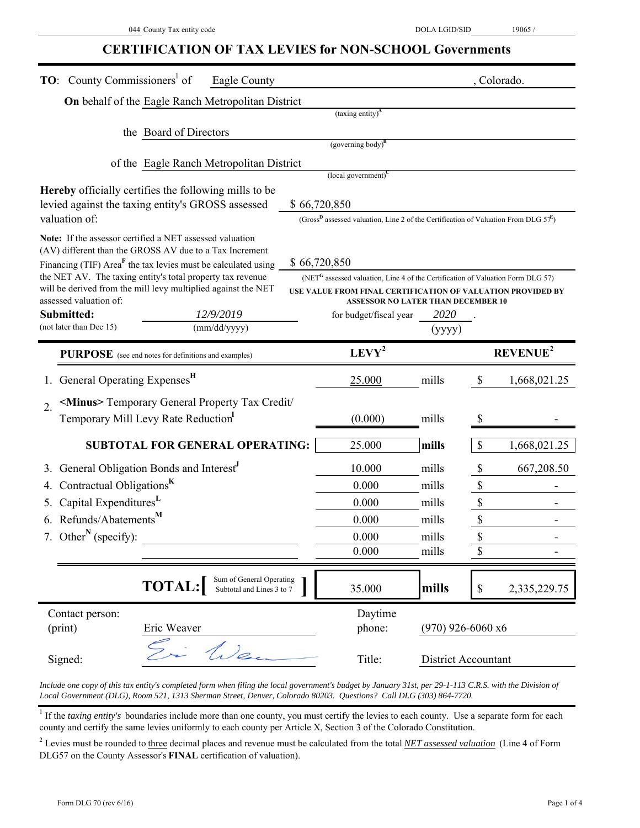# **CERTIFICATION OF TAX LEVIES for NON-SCHOOL Governments**

| <b>TO:</b> County Commissioners <sup>1</sup> of                                                                                         | Eagle County                                          |              |                                                                                                             |                     |                           | , Colorado.          |  |  |
|-----------------------------------------------------------------------------------------------------------------------------------------|-------------------------------------------------------|--------------|-------------------------------------------------------------------------------------------------------------|---------------------|---------------------------|----------------------|--|--|
| On behalf of the Eagle Ranch Metropolitan District                                                                                      |                                                       |              |                                                                                                             |                     |                           |                      |  |  |
|                                                                                                                                         |                                                       |              | $(taxing entity)^{A}$                                                                                       |                     |                           |                      |  |  |
| the Board of Directors                                                                                                                  |                                                       |              |                                                                                                             |                     |                           |                      |  |  |
|                                                                                                                                         |                                                       |              | (governing body) $B$                                                                                        |                     |                           |                      |  |  |
|                                                                                                                                         | of the Eagle Ranch Metropolitan District              |              | $\left($ local government $\right)^C$                                                                       |                     |                           |                      |  |  |
| <b>Hereby</b> officially certifies the following mills to be                                                                            |                                                       |              |                                                                                                             |                     |                           |                      |  |  |
| levied against the taxing entity's GROSS assessed                                                                                       |                                                       | \$66,720,850 |                                                                                                             |                     |                           |                      |  |  |
| valuation of:                                                                                                                           |                                                       |              | (Gross <sup>B</sup> assessed valuation, Line 2 of the Certification of Valuation From DLG $57^E$ )          |                     |                           |                      |  |  |
| Note: If the assessor certified a NET assessed valuation                                                                                |                                                       |              |                                                                                                             |                     |                           |                      |  |  |
| (AV) different than the GROSS AV due to a Tax Increment                                                                                 |                                                       |              |                                                                                                             |                     |                           |                      |  |  |
| Financing (TIF) Area <sup>F</sup> the tax levies must be calculated using<br>the NET AV. The taxing entity's total property tax revenue |                                                       |              | \$66,720,850<br>(NET <sup>G</sup> assessed valuation, Line 4 of the Certification of Valuation Form DLG 57) |                     |                           |                      |  |  |
| will be derived from the mill levy multiplied against the NET                                                                           |                                                       |              | USE VALUE FROM FINAL CERTIFICATION OF VALUATION PROVIDED BY                                                 |                     |                           |                      |  |  |
| assessed valuation of:                                                                                                                  |                                                       |              | <b>ASSESSOR NO LATER THAN DECEMBER 10</b>                                                                   |                     |                           |                      |  |  |
| Submitted:<br>(not later than Dec 15)                                                                                                   | 12/9/2019<br>(mm/dd/yyyy)                             |              | for budget/fiscal year                                                                                      | 2020<br>(yyyy)      |                           |                      |  |  |
|                                                                                                                                         |                                                       |              |                                                                                                             |                     |                           |                      |  |  |
| PURPOSE (see end notes for definitions and examples)                                                                                    |                                                       |              | $LEVY^2$                                                                                                    |                     |                           | REVENUE <sup>2</sup> |  |  |
| General Operating Expenses <sup>H</sup>                                                                                                 |                                                       |              | 25.000                                                                                                      | mills               | $\boldsymbol{\mathsf{S}}$ | 1,668,021.25         |  |  |
| <minus> Temporary General Property Tax Credit/<br/><math>\overline{2}</math>.</minus>                                                   |                                                       |              |                                                                                                             |                     |                           |                      |  |  |
| Temporary Mill Levy Rate Reduction                                                                                                      |                                                       |              | (0.000)                                                                                                     | mills               | \$                        |                      |  |  |
| <b>SUBTOTAL FOR GENERAL OPERATING:</b>                                                                                                  |                                                       |              | 25.000                                                                                                      | mills               | \$                        | 1,668,021.25         |  |  |
| General Obligation Bonds and Interest <sup>J</sup>                                                                                      |                                                       |              | 10.000                                                                                                      | mills               | \$                        | 667,208.50           |  |  |
| Contractual Obligations <sup>K</sup>                                                                                                    |                                                       |              | 0.000                                                                                                       | mills               | $\boldsymbol{\mathsf{S}}$ |                      |  |  |
| Capital Expenditures <sup>L</sup><br>5.                                                                                                 |                                                       |              | 0.000                                                                                                       | mills               | $\mathbb S$               |                      |  |  |
| Refunds/Abatements <sup>M</sup><br>6.                                                                                                   |                                                       |              | 0.000                                                                                                       | mills               | $\boldsymbol{\mathsf{S}}$ |                      |  |  |
| 7. Other <sup>N</sup> (specify):                                                                                                        |                                                       |              | 0.000                                                                                                       | mills               | \$                        |                      |  |  |
|                                                                                                                                         |                                                       |              | 0.000                                                                                                       | mills               | $\mathbb{S}$              |                      |  |  |
|                                                                                                                                         |                                                       |              |                                                                                                             |                     |                           |                      |  |  |
| <b>TOTAL:</b>                                                                                                                           | Sum of General Operating<br>Subtotal and Lines 3 to 7 |              | 35.000                                                                                                      | mills               | \$                        | 2,335,229.75         |  |  |
| Contact person:                                                                                                                         |                                                       |              | Daytime                                                                                                     |                     |                           |                      |  |  |
| (print)<br>Eric Weaver                                                                                                                  |                                                       |              | phone:                                                                                                      | $(970)$ 926-6060 x6 |                           |                      |  |  |
| Signed:                                                                                                                                 | Vilen                                                 |              | Title:                                                                                                      | District Accountant |                           |                      |  |  |

*Include one copy of this tax entity's completed form when filing the local government's budget by January 31st, per 29-1-113 C.R.S. with the Division of Local Government (DLG), Room 521, 1313 Sherman Street, Denver, Colorado 80203. Questions? Call DLG (303) 864-7720.*

<sup>1</sup> If the *taxing entity's* boundaries include more than one county, you must certify the levies to each county. Use a separate form for each county and certify the same levies uniformly to each county per Article X, Section 3 of the Colorado Constitution.

2 Levies must be rounded to three decimal places and revenue must be calculated from the total *NET assessed valuation* (Line 4 of Form DLG57 on the County Assessor's **FINAL** certification of valuation).